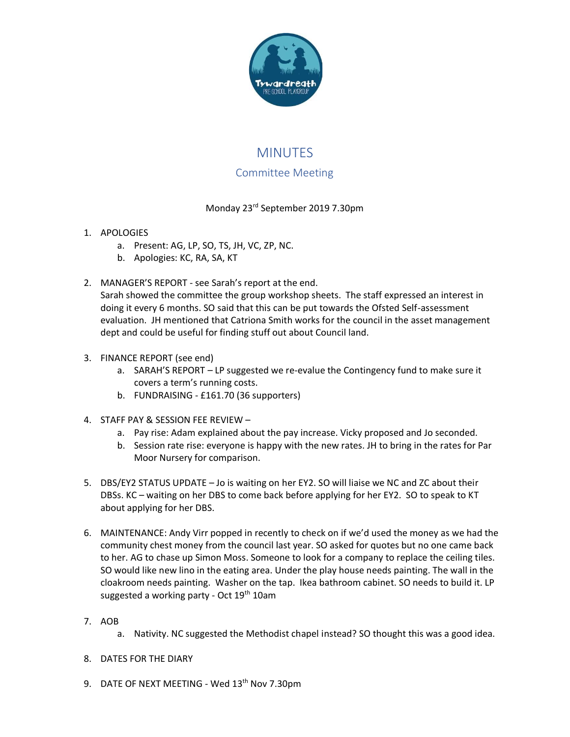

# MINUTES Committee Meeting

## Monday 23rd September 2019 7.30pm

- 1. APOLOGIES
	- a. Present: AG, LP, SO, TS, JH, VC, ZP, NC.
	- b. Apologies: KC, RA, SA, KT
- 2. MANAGER'S REPORT see Sarah's report at the end.

Sarah showed the committee the group workshop sheets. The staff expressed an interest in doing it every 6 months. SO said that this can be put towards the Ofsted Self-assessment evaluation. JH mentioned that Catriona Smith works for the council in the asset management dept and could be useful for finding stuff out about Council land.

#### 3. FINANCE REPORT (see end)

- a. SARAH'S REPORT LP suggested we re-evalue the Contingency fund to make sure it covers a term's running costs.
- b. FUNDRAISING £161.70 (36 supporters)
- 4. STAFF PAY & SESSION FEE REVIEW
	- a. Pay rise: Adam explained about the pay increase. Vicky proposed and Jo seconded.
	- b. Session rate rise: everyone is happy with the new rates. JH to bring in the rates for Par Moor Nursery for comparison.
- 5. DBS/EY2 STATUS UPDATE Jo is waiting on her EY2. SO will liaise we NC and ZC about their DBSs. KC – waiting on her DBS to come back before applying for her EY2. SO to speak to KT about applying for her DBS.
- 6. MAINTENANCE: Andy Virr popped in recently to check on if we'd used the money as we had the community chest money from the council last year. SO asked for quotes but no one came back to her. AG to chase up Simon Moss. Someone to look for a company to replace the ceiling tiles. SO would like new lino in the eating area. Under the play house needs painting. The wall in the cloakroom needs painting. Washer on the tap. Ikea bathroom cabinet. SO needs to build it. LP suggested a working party - Oct  $19<sup>th</sup> 10$ am
- 7. AOB
	- a. Nativity. NC suggested the Methodist chapel instead? SO thought this was a good idea.
- 8. DATES FOR THE DIARY
- 9. DATE OF NEXT MEETING Wed 13<sup>th</sup> Nov 7.30pm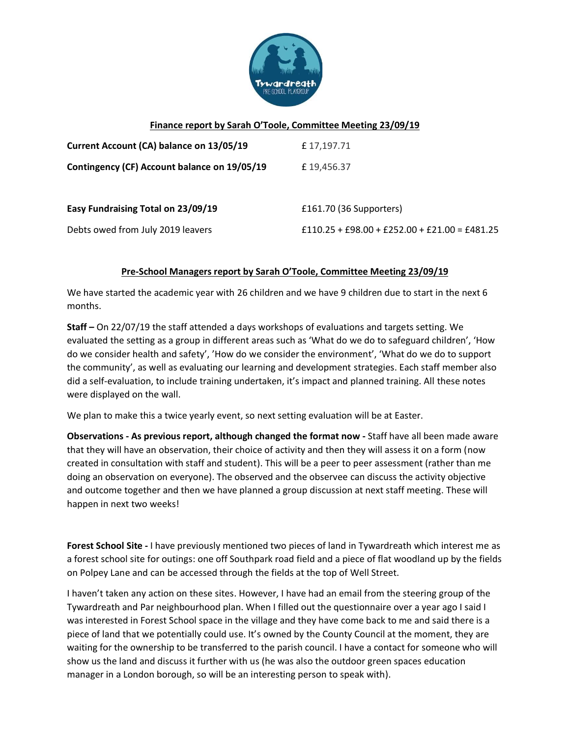

### **Finance report by Sarah O'Toole, Committee Meeting 23/09/19**

| Current Account (CA) balance on 13/05/19     | £17,197.71                                      |
|----------------------------------------------|-------------------------------------------------|
| Contingency (CF) Account balance on 19/05/19 | £19,456.37                                      |
| Easy Fundraising Total on 23/09/19           | £161.70 (36 Supporters)                         |
| Debts owed from July 2019 leavers            | $£110.25 + £98.00 + £252.00 + £21.00 = £481.25$ |

#### **Pre-School Managers report by Sarah O'Toole, Committee Meeting 23/09/19**

We have started the academic year with 26 children and we have 9 children due to start in the next 6 months.

**Staff –** On 22/07/19 the staff attended a days workshops of evaluations and targets setting. We evaluated the setting as a group in different areas such as 'What do we do to safeguard children', 'How do we consider health and safety', 'How do we consider the environment', 'What do we do to support the community', as well as evaluating our learning and development strategies. Each staff member also did a self-evaluation, to include training undertaken, it's impact and planned training. All these notes were displayed on the wall.

We plan to make this a twice yearly event, so next setting evaluation will be at Easter.

**Observations - As previous report, although changed the format now -** Staff have all been made aware that they will have an observation, their choice of activity and then they will assess it on a form (now created in consultation with staff and student). This will be a peer to peer assessment (rather than me doing an observation on everyone). The observed and the observee can discuss the activity objective and outcome together and then we have planned a group discussion at next staff meeting. These will happen in next two weeks!

**Forest School Site -** I have previously mentioned two pieces of land in Tywardreath which interest me as a forest school site for outings: one off Southpark road field and a piece of flat woodland up by the fields on Polpey Lane and can be accessed through the fields at the top of Well Street.

I haven't taken any action on these sites. However, I have had an email from the steering group of the Tywardreath and Par neighbourhood plan. When I filled out the questionnaire over a year ago I said I was interested in Forest School space in the village and they have come back to me and said there is a piece of land that we potentially could use. It's owned by the County Council at the moment, they are waiting for the ownership to be transferred to the parish council. I have a contact for someone who will show us the land and discuss it further with us (he was also the outdoor green spaces education manager in a London borough, so will be an interesting person to speak with).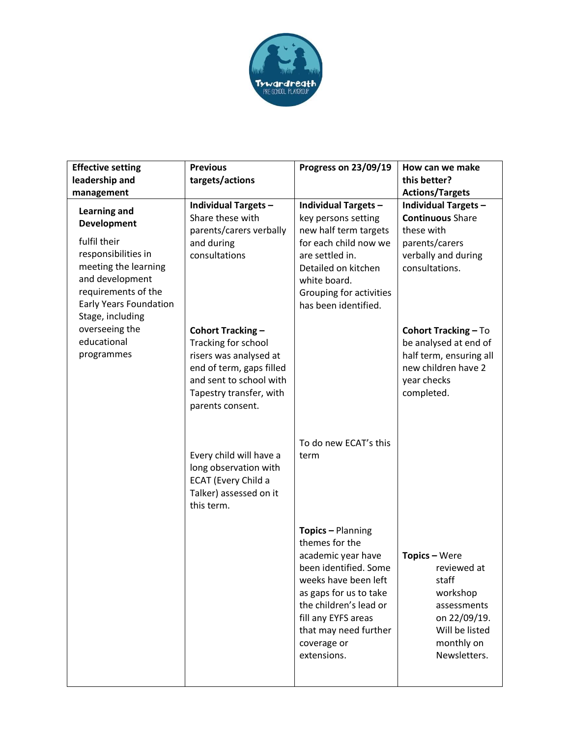

| <b>Effective setting</b>                                                                                                                                                                                | <b>Previous</b>                                                                                                                                                          | Progress on 23/09/19                                                                                                                                                                                                                         | How can we make                                                                                                                     |
|---------------------------------------------------------------------------------------------------------------------------------------------------------------------------------------------------------|--------------------------------------------------------------------------------------------------------------------------------------------------------------------------|----------------------------------------------------------------------------------------------------------------------------------------------------------------------------------------------------------------------------------------------|-------------------------------------------------------------------------------------------------------------------------------------|
| leadership and                                                                                                                                                                                          | targets/actions                                                                                                                                                          |                                                                                                                                                                                                                                              | this better?                                                                                                                        |
| management                                                                                                                                                                                              |                                                                                                                                                                          |                                                                                                                                                                                                                                              | <b>Actions/Targets</b>                                                                                                              |
| <b>Learning and</b><br><b>Development</b><br>fulfil their<br>responsibilities in<br>meeting the learning<br>and development<br>requirements of the<br><b>Early Years Foundation</b><br>Stage, including | <b>Individual Targets -</b><br>Share these with<br>parents/carers verbally<br>and during<br>consultations                                                                | <b>Individual Targets -</b><br>key persons setting<br>new half term targets<br>for each child now we<br>are settled in.<br>Detailed on kitchen<br>white board.<br>Grouping for activities<br>has been identified.                            | <b>Individual Targets -</b><br><b>Continuous Share</b><br>these with<br>parents/carers<br>verbally and during<br>consultations.     |
| overseeing the<br>educational<br>programmes                                                                                                                                                             | Cohort Tracking -<br>Tracking for school<br>risers was analysed at<br>end of term, gaps filled<br>and sent to school with<br>Tapestry transfer, with<br>parents consent. |                                                                                                                                                                                                                                              | <b>Cohort Tracking - To</b><br>be analysed at end of<br>half term, ensuring all<br>new children have 2<br>year checks<br>completed. |
|                                                                                                                                                                                                         | Every child will have a<br>long observation with<br>ECAT (Every Child a<br>Talker) assessed on it<br>this term.                                                          | To do new ECAT's this<br>term                                                                                                                                                                                                                |                                                                                                                                     |
|                                                                                                                                                                                                         |                                                                                                                                                                          | Topics - Planning<br>themes for the<br>academic year have<br>been identified. Some<br>weeks have been left<br>as gaps for us to take<br>the children's lead or<br>fill any EYFS areas<br>that may need further<br>coverage or<br>extensions. | Topics - Were<br>reviewed at<br>staff<br>workshop<br>assessments<br>on 22/09/19.<br>Will be listed<br>monthly on<br>Newsletters.    |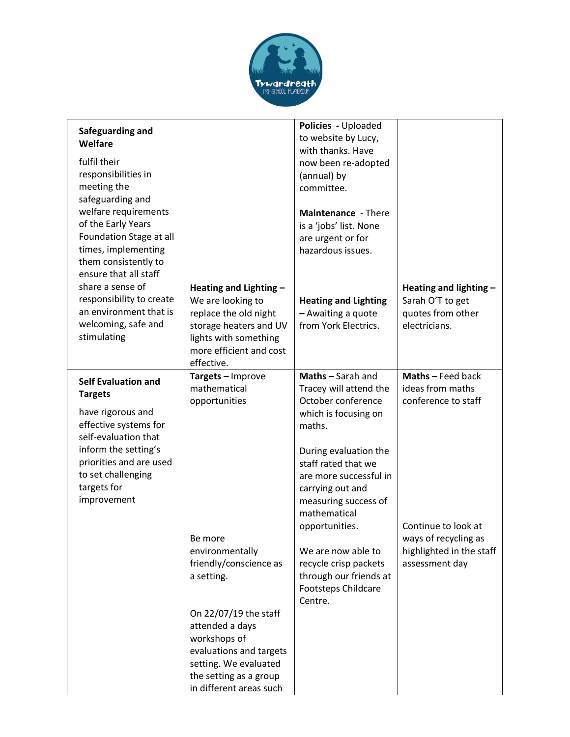

| Safeguarding and<br>Welfare<br>fulfil their<br>responsibilities in<br>meeting the<br>safeguarding and<br>welfare requirements<br>of the Early Years<br>Foundation Stage at all<br>times, implementing<br>them consistently to<br>ensure that all staff |                                                                                                                                                                                                                                                                                               | Policies - Uploaded<br>to website by Lucy,<br>with thanks. Have<br>now been re-adopted<br>(annual) by<br>committee.<br>Maintenance - There<br>is a 'jobs' list. None<br>are urgent or for<br>hazardous issues.                                                                                                                                                         |                                                                                                                                                           |
|--------------------------------------------------------------------------------------------------------------------------------------------------------------------------------------------------------------------------------------------------------|-----------------------------------------------------------------------------------------------------------------------------------------------------------------------------------------------------------------------------------------------------------------------------------------------|------------------------------------------------------------------------------------------------------------------------------------------------------------------------------------------------------------------------------------------------------------------------------------------------------------------------------------------------------------------------|-----------------------------------------------------------------------------------------------------------------------------------------------------------|
| share a sense of<br>responsibility to create<br>an environment that is<br>welcoming, safe and<br>stimulating                                                                                                                                           | Heating and Lighting -<br>We are looking to<br>replace the old night<br>storage heaters and UV<br>lights with something<br>more efficient and cost<br>effective.                                                                                                                              | <b>Heating and Lighting</b><br>- Awaiting a quote<br>from York Electrics.                                                                                                                                                                                                                                                                                              | Heating and lighting -<br>Sarah O'T to get<br>quotes from other<br>electricians.                                                                          |
| <b>Self Evaluation and</b><br><b>Targets</b><br>have rigorous and<br>effective systems for<br>self-evaluation that<br>inform the setting's<br>priorities and are used<br>to set challenging<br>targets for<br>improvement                              | Targets - Improve<br>mathematical<br>opportunities<br>Be more<br>environmentally<br>friendly/conscience as<br>a setting.<br>On 22/07/19 the staff<br>attended a days<br>workshops of<br>evaluations and targets<br>setting. We evaluated<br>the setting as a group<br>in different areas such | Maths - Sarah and<br>Tracey will attend the<br>October conference<br>which is focusing on<br>maths.<br>During evaluation the<br>staff rated that we<br>are more successful in<br>carrying out and<br>measuring success of<br>mathematical<br>opportunities.<br>We are now able to<br>recycle crisp packets<br>through our friends at<br>Footsteps Childcare<br>Centre. | Maths - Feed back<br>ideas from maths<br>conference to staff<br>Continue to look at<br>ways of recycling as<br>highlighted in the staff<br>assessment day |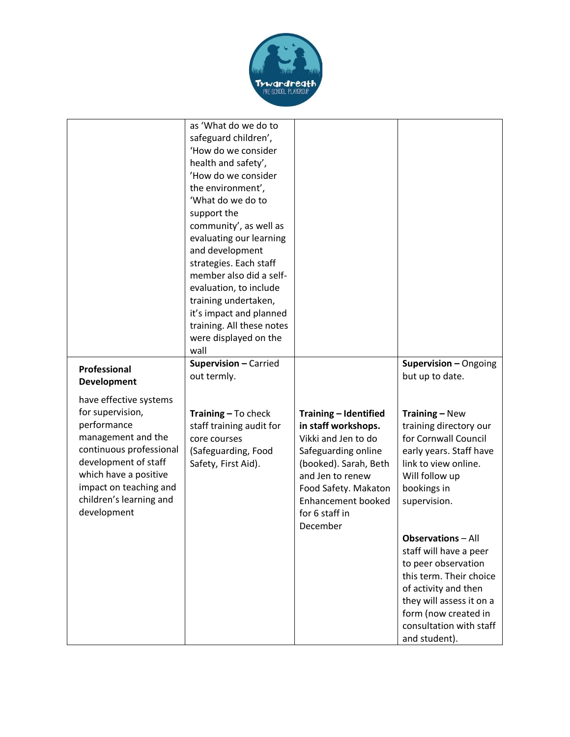

|                                                                                                                                                                                                                                 | as 'What do we do to<br>safeguard children',<br>'How do we consider<br>health and safety',<br>'How do we consider<br>the environment',<br>'What do we do to<br>support the<br>community', as well as<br>evaluating our learning<br>and development<br>strategies. Each staff<br>member also did a self-<br>evaluation, to include<br>training undertaken,<br>it's impact and planned<br>training. All these notes<br>were displayed on the<br>wall |                                                                                                                                                                                                                            |                                                                                                                                                                                                                                                                                                                                                                                                              |
|---------------------------------------------------------------------------------------------------------------------------------------------------------------------------------------------------------------------------------|----------------------------------------------------------------------------------------------------------------------------------------------------------------------------------------------------------------------------------------------------------------------------------------------------------------------------------------------------------------------------------------------------------------------------------------------------|----------------------------------------------------------------------------------------------------------------------------------------------------------------------------------------------------------------------------|--------------------------------------------------------------------------------------------------------------------------------------------------------------------------------------------------------------------------------------------------------------------------------------------------------------------------------------------------------------------------------------------------------------|
| <b>Professional</b><br>Development                                                                                                                                                                                              | Supervision - Carried<br>out termly.                                                                                                                                                                                                                                                                                                                                                                                                               |                                                                                                                                                                                                                            | Supervision - Ongoing<br>but up to date.                                                                                                                                                                                                                                                                                                                                                                     |
| have effective systems<br>for supervision,<br>performance<br>management and the<br>continuous professional<br>development of staff<br>which have a positive<br>impact on teaching and<br>children's learning and<br>development | <b>Training - To check</b><br>staff training audit for<br>core courses<br>(Safeguarding, Food<br>Safety, First Aid).                                                                                                                                                                                                                                                                                                                               | Training - Identified<br>in staff workshops.<br>Vikki and Jen to do<br>Safeguarding online<br>(booked). Sarah, Beth<br>and Jen to renew<br>Food Safety. Makaton<br><b>Enhancement booked</b><br>for 6 staff in<br>December | <b>Training - New</b><br>training directory our<br>for Cornwall Council<br>early years. Staff have<br>link to view online.<br>Will follow up<br>bookings in<br>supervision.<br><b>Observations</b> – All<br>staff will have a peer<br>to peer observation<br>this term. Their choice<br>of activity and then<br>they will assess it on a<br>form (now created in<br>consultation with staff<br>and student). |